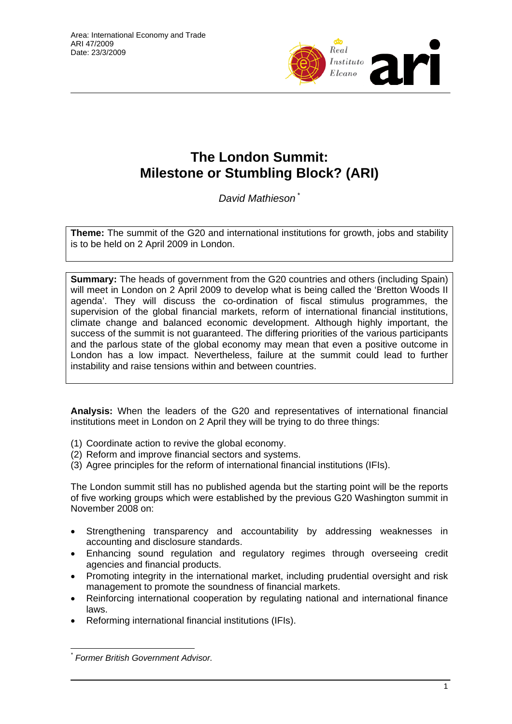

# **The London Summit: Milestone or Stumbling Block? (ARI)**

*David Mathieson* \*

**Theme:** The summit of the G20 and international institutions for growth, jobs and stability is to be held on 2 April 2009 in London.

**Summary:** The heads of government from the G20 countries and others (including Spain) will meet in London on 2 April 2009 to develop what is being called the 'Bretton Woods II agenda'. They will discuss the co-ordination of fiscal stimulus programmes, the supervision of the global financial markets, reform of international financial institutions, climate change and balanced economic development. Although highly important, the success of the summit is not guaranteed. The differing priorities of the various participants and the parlous state of the global economy may mean that even a positive outcome in London has a low impact. Nevertheless, failure at the summit could lead to further instability and raise tensions within and between countries.

**Analysis:** When the leaders of the G20 and representatives of international financial institutions meet in London on 2 April they will be trying to do three things:

- (1) Coordinate action to revive the global economy.
- (2) Reform and improve financial sectors and systems.
- (3) Agree principles for the reform of international financial institutions (IFIs).

The London summit still has no published agenda but the starting point will be the reports of five working groups which were established by the previous G20 Washington summit in November 2008 on:

- Strengthening transparency and accountability by addressing weaknesses in accounting and disclosure standards.
- Enhancing sound regulation and regulatory regimes through overseeing credit agencies and financial products.
- Promoting integrity in the international market, including prudential oversight and risk management to promote the soundness of financial markets.
- Reinforcing international cooperation by regulating national and international finance laws.
- Reforming international financial institutions (IFIs).

 $\overline{a}$ *\* Former British Government Advisor.*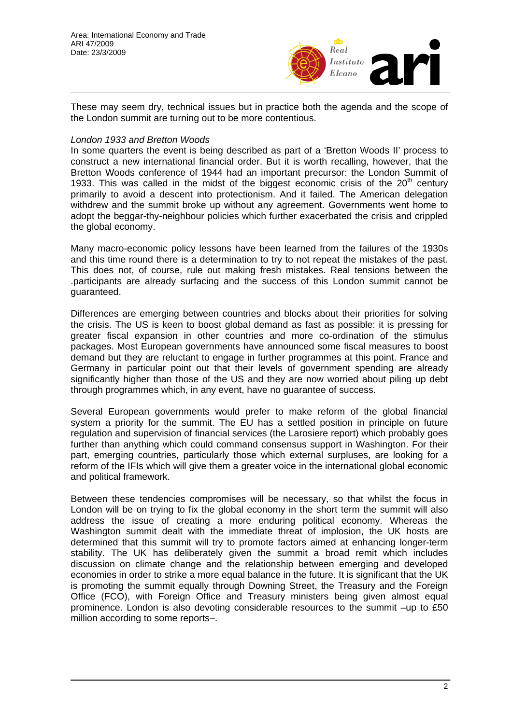

These may seem dry, technical issues but in practice both the agenda and the scope of the London summit are turning out to be more contentious.

#### *London 1933 and Bretton Woods*

In some quarters the event is being described as part of a 'Bretton Woods II' process to construct a new international financial order. But it is worth recalling, however, that the Bretton Woods conference of 1944 had an important precursor: the London Summit of 1933. This was called in the midst of the biggest economic crisis of the  $20<sup>th</sup>$  century primarily to avoid a descent into protectionism. And it failed. The American delegation withdrew and the summit broke up without any agreement. Governments went home to adopt the beggar-thy-neighbour policies which further exacerbated the crisis and crippled the global economy.

Many macro-economic policy lessons have been learned from the failures of the 1930s and this time round there is a determination to try to not repeat the mistakes of the past. This does not, of course, rule out making fresh mistakes. Real tensions between the .participants are already surfacing and the success of this London summit cannot be guaranteed.

Differences are emerging between countries and blocks about their priorities for solving the crisis. The US is keen to boost global demand as fast as possible: it is pressing for greater fiscal expansion in other countries and more co-ordination of the stimulus packages. Most European governments have announced some fiscal measures to boost demand but they are reluctant to engage in further programmes at this point. France and Germany in particular point out that their levels of government spending are already significantly higher than those of the US and they are now worried about piling up debt through programmes which, in any event, have no guarantee of success.

Several European governments would prefer to make reform of the global financial system a priority for the summit. The EU has a settled position in principle on future regulation and supervision of financial services (the Larosiere report) which probably goes further than anything which could command consensus support in Washington. For their part, emerging countries, particularly those which external surpluses, are looking for a reform of the IFIs which will give them a greater voice in the international global economic and political framework.

Between these tendencies compromises will be necessary, so that whilst the focus in London will be on trying to fix the global economy in the short term the summit will also address the issue of creating a more enduring political economy. Whereas the Washington summit dealt with the immediate threat of implosion, the UK hosts are determined that this summit will try to promote factors aimed at enhancing longer-term stability. The UK has deliberately given the summit a broad remit which includes discussion on climate change and the relationship between emerging and developed economies in order to strike a more equal balance in the future. It is significant that the UK is promoting the summit equally through Downing Street, the Treasury and the Foreign Office (FCO), with Foreign Office and Treasury ministers being given almost equal prominence. London is also devoting considerable resources to the summit –up to £50 million according to some reports–.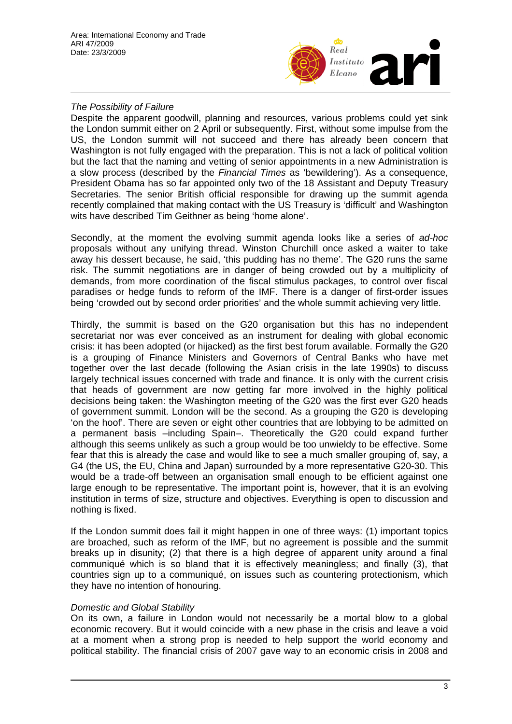

## *The Possibility of Failure*

Despite the apparent goodwill, planning and resources, various problems could yet sink the London summit either on 2 April or subsequently. First, without some impulse from the US, the London summit will not succeed and there has already been concern that Washington is not fully engaged with the preparation. This is not a lack of political volition but the fact that the naming and vetting of senior appointments in a new Administration is a slow process (described by the *Financial Times* as 'bewildering'). As a consequence, President Obama has so far appointed only two of the 18 Assistant and Deputy Treasury Secretaries. The senior British official responsible for drawing up the summit agenda recently complained that making contact with the US Treasury is 'difficult' and Washington wits have described Tim Geithner as being 'home alone'.

Secondly, at the moment the evolving summit agenda looks like a series of *ad-hoc* proposals without any unifying thread. Winston Churchill once asked a waiter to take away his dessert because, he said, 'this pudding has no theme'. The G20 runs the same risk. The summit negotiations are in danger of being crowded out by a multiplicity of demands, from more coordination of the fiscal stimulus packages, to control over fiscal paradises or hedge funds to reform of the IMF. There is a danger of first-order issues being 'crowded out by second order priorities' and the whole summit achieving very little.

Thirdly, the summit is based on the G20 organisation but this has no independent secretariat nor was ever conceived as an instrument for dealing with global economic crisis: it has been adopted (or hijacked) as the first best forum available. Formally the G20 is a grouping of Finance Ministers and Governors of Central Banks who have met together over the last decade (following the Asian crisis in the late 1990s) to discuss largely technical issues concerned with trade and finance. It is only with the current crisis that heads of government are now getting far more involved in the highly political decisions being taken: the Washington meeting of the G20 was the first ever G20 heads of government summit. London will be the second. As a grouping the G20 is developing 'on the hoof'. There are seven or eight other countries that are lobbying to be admitted on a permanent basis –including Spain–. Theoretically the G20 could expand further although this seems unlikely as such a group would be too unwieldy to be effective. Some fear that this is already the case and would like to see a much smaller grouping of, say, a G4 (the US, the EU, China and Japan) surrounded by a more representative G20-30. This would be a trade-off between an organisation small enough to be efficient against one large enough to be representative. The important point is, however, that it is an evolving institution in terms of size, structure and objectives. Everything is open to discussion and nothing is fixed.

If the London summit does fail it might happen in one of three ways: (1) important topics are broached, such as reform of the IMF, but no agreement is possible and the summit breaks up in disunity; (2) that there is a high degree of apparent unity around a final communiqué which is so bland that it is effectively meaningless; and finally (3), that countries sign up to a communiqué, on issues such as countering protectionism, which they have no intention of honouring.

### *Domestic and Global Stability*

On its own, a failure in London would not necessarily be a mortal blow to a global economic recovery. But it would coincide with a new phase in the crisis and leave a void at a moment when a strong prop is needed to help support the world economy and political stability. The financial crisis of 2007 gave way to an economic crisis in 2008 and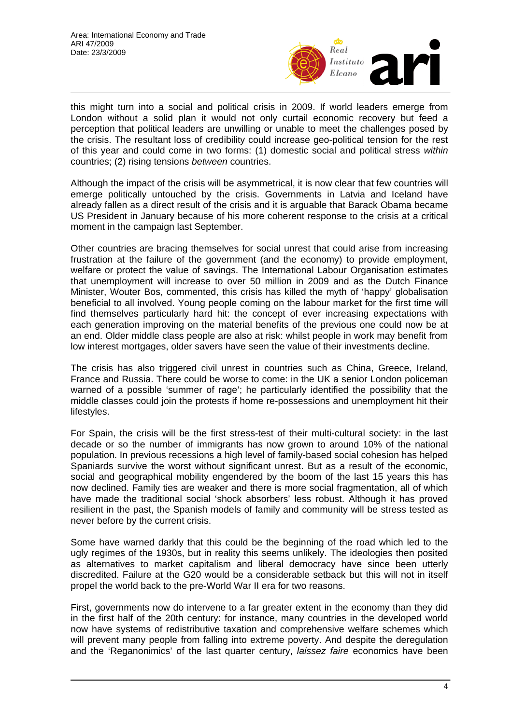

this might turn into a social and political crisis in 2009. If world leaders emerge from London without a solid plan it would not only curtail economic recovery but feed a perception that political leaders are unwilling or unable to meet the challenges posed by the crisis. The resultant loss of credibility could increase geo-political tension for the rest of this year and could come in two forms: (1) domestic social and political stress *within*  countries; (2) rising tensions *between* countries.

Although the impact of the crisis will be asymmetrical, it is now clear that few countries will emerge politically untouched by the crisis. Governments in Latvia and Iceland have already fallen as a direct result of the crisis and it is arguable that Barack Obama became US President in January because of his more coherent response to the crisis at a critical moment in the campaign last September.

Other countries are bracing themselves for social unrest that could arise from increasing frustration at the failure of the government (and the economy) to provide employment, welfare or protect the value of savings. The International Labour Organisation estimates that unemployment will increase to over 50 million in 2009 and as the Dutch Finance Minister, Wouter Bos, commented, this crisis has killed the myth of 'happy' globalisation beneficial to all involved. Young people coming on the labour market for the first time will find themselves particularly hard hit: the concept of ever increasing expectations with each generation improving on the material benefits of the previous one could now be at an end. Older middle class people are also at risk: whilst people in work may benefit from low interest mortgages, older savers have seen the value of their investments decline.

The crisis has also triggered civil unrest in countries such as China, Greece, Ireland, France and Russia. There could be worse to come: in the UK a senior London policeman warned of a possible 'summer of rage'; he particularly identified the possibility that the middle classes could join the protests if home re-possessions and unemployment hit their lifestyles.

For Spain, the crisis will be the first stress-test of their multi-cultural society: in the last decade or so the number of immigrants has now grown to around 10% of the national population. In previous recessions a high level of family-based social cohesion has helped Spaniards survive the worst without significant unrest. But as a result of the economic, social and geographical mobility engendered by the boom of the last 15 years this has now declined. Family ties are weaker and there is more social fragmentation, all of which have made the traditional social 'shock absorbers' less robust. Although it has proved resilient in the past, the Spanish models of family and community will be stress tested as never before by the current crisis.

Some have warned darkly that this could be the beginning of the road which led to the ugly regimes of the 1930s, but in reality this seems unlikely. The ideologies then posited as alternatives to market capitalism and liberal democracy have since been utterly discredited. Failure at the G20 would be a considerable setback but this will not in itself propel the world back to the pre-World War II era for two reasons.

First, governments now do intervene to a far greater extent in the economy than they did in the first half of the 20th century: for instance, many countries in the developed world now have systems of redistributive taxation and comprehensive welfare schemes which will prevent many people from falling into extreme poverty. And despite the deregulation and the 'Reganonimics' of the last quarter century, *laissez faire* economics have been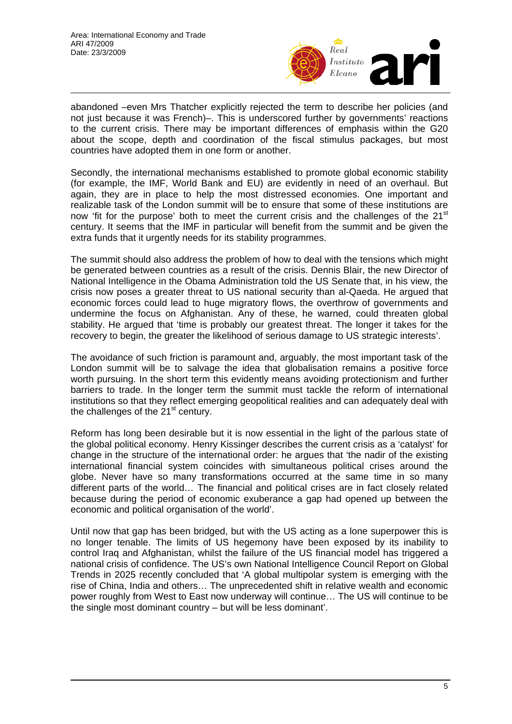

abandoned –even Mrs Thatcher explicitly rejected the term to describe her policies (and not just because it was French)–. This is underscored further by governments' reactions to the current crisis. There may be important differences of emphasis within the G20 about the scope, depth and coordination of the fiscal stimulus packages, but most countries have adopted them in one form or another.

Secondly, the international mechanisms established to promote global economic stability (for example, the IMF, World Bank and EU) are evidently in need of an overhaul. But again, they are in place to help the most distressed economies. One important and realizable task of the London summit will be to ensure that some of these institutions are now 'fit for the purpose' both to meet the current crisis and the challenges of the  $21<sup>st</sup>$ century. It seems that the IMF in particular will benefit from the summit and be given the extra funds that it urgently needs for its stability programmes.

The summit should also address the problem of how to deal with the tensions which might be generated between countries as a result of the crisis. Dennis Blair, the new Director of National Intelligence in the Obama Administration told the US Senate that, in his view, the crisis now poses a greater threat to US national security than al-Qaeda. He argued that economic forces could lead to huge migratory flows, the overthrow of governments and undermine the focus on Afghanistan. Any of these, he warned, could threaten global stability. He argued that 'time is probably our greatest threat. The longer it takes for the recovery to begin, the greater the likelihood of serious damage to US strategic interests'.

The avoidance of such friction is paramount and, arguably, the most important task of the London summit will be to salvage the idea that globalisation remains a positive force worth pursuing. In the short term this evidently means avoiding protectionism and further barriers to trade. In the longer term the summit must tackle the reform of international institutions so that they reflect emerging geopolitical realities and can adequately deal with the challenges of the  $21<sup>st</sup>$  century.

Reform has long been desirable but it is now essential in the light of the parlous state of the global political economy. Henry Kissinger describes the current crisis as a 'catalyst' for change in the structure of the international order: he argues that 'the nadir of the existing international financial system coincides with simultaneous political crises around the globe. Never have so many transformations occurred at the same time in so many different parts of the world… The financial and political crises are in fact closely related because during the period of economic exuberance a gap had opened up between the economic and political organisation of the world'.

Until now that gap has been bridged, but with the US acting as a lone superpower this is no longer tenable. The limits of US hegemony have been exposed by its inability to control Iraq and Afghanistan, whilst the failure of the US financial model has triggered a national crisis of confidence. The US's own National Intelligence Council Report on Global Trends in 2025 recently concluded that 'A global multipolar system is emerging with the rise of China, India and others… The unprecedented shift in relative wealth and economic power roughly from West to East now underway will continue… The US will continue to be the single most dominant country – but will be less dominant'.